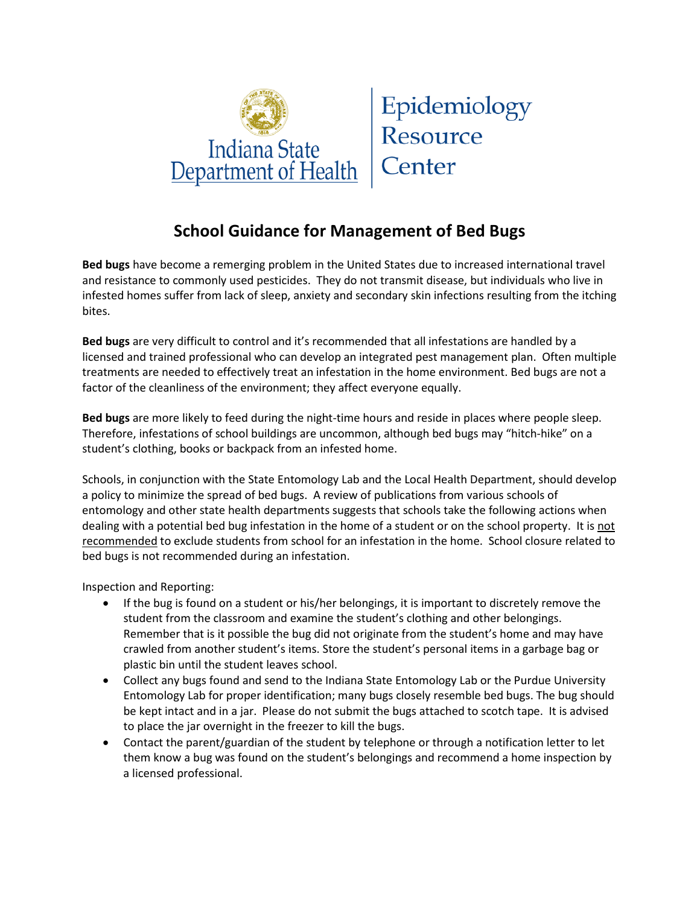

Epidemiology Resource Center

## **School Guidance for Management of Bed Bugs**

**Bed bugs** have become a remerging problem in the United States due to increased international travel and resistance to commonly used pesticides. They do not transmit disease, but individuals who live in infested homes suffer from lack of sleep, anxiety and secondary skin infections resulting from the itching bites.

**Bed bugs** are very difficult to control and it's recommended that all infestations are handled by a licensed and trained professional who can develop an integrated pest management plan. Often multiple treatments are needed to effectively treat an infestation in the home environment. Bed bugs are not a factor of the cleanliness of the environment; they affect everyone equally.

**Bed bugs** are more likely to feed during the night-time hours and reside in places where people sleep. Therefore, infestations of school buildings are uncommon, although bed bugs may "hitch-hike" on a student's clothing, books or backpack from an infested home.

Schools, in conjunction with the State Entomology Lab and the Local Health Department, should develop a policy to minimize the spread of bed bugs. A review of publications from various schools of entomology and other state health departments suggests that schools take the following actions when dealing with a potential bed bug infestation in the home of a student or on the school property. It is not recommended to exclude students from school for an infestation in the home. School closure related to bed bugs is not recommended during an infestation.

Inspection and Reporting:

- If the bug is found on a student or his/her belongings, it is important to discretely remove the student from the classroom and examine the student's clothing and other belongings. Remember that is it possible the bug did not originate from the student's home and may have crawled from another student's items. Store the student's personal items in a garbage bag or plastic bin until the student leaves school.
- Collect any bugs found and send to the Indiana State Entomology Lab or the Purdue University Entomology Lab for proper identification; many bugs closely resemble bed bugs. The bug should be kept intact and in a jar. Please do not submit the bugs attached to scotch tape. It is advised to place the jar overnight in the freezer to kill the bugs.
- Contact the parent/guardian of the student by telephone or through a notification letter to let them know a bug was found on the student's belongings and recommend a home inspection by a licensed professional.